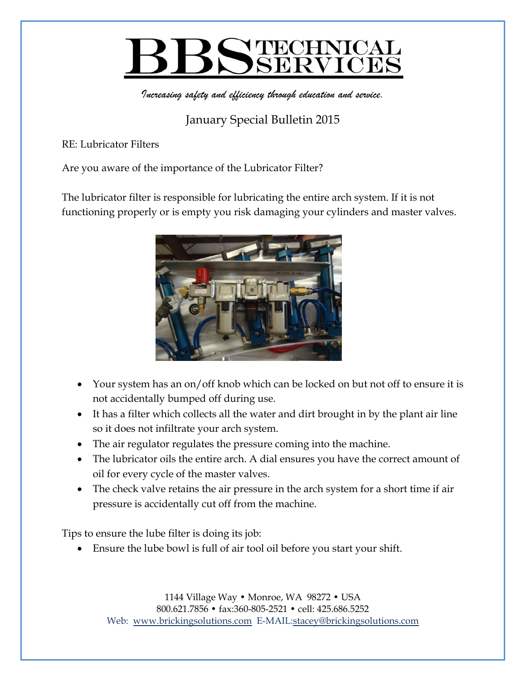## PECHNICAL

*Increasing safety and efficiency through education and service.*

## January Special Bulletin 2015

RE: Lubricator Filters

Are you aware of the importance of the Lubricator Filter?

The lubricator filter is responsible for lubricating the entire arch system. If it is not functioning properly or is empty you risk damaging your cylinders and master valves.



- Your system has an on/off knob which can be locked on but not off to ensure it is not accidentally bumped off during use.
- It has a filter which collects all the water and dirt brought in by the plant air line so it does not infiltrate your arch system.
- The air regulator regulates the pressure coming into the machine.
- The lubricator oils the entire arch. A dial ensures you have the correct amount of oil for every cycle of the master valves.
- The check valve retains the air pressure in the arch system for a short time if air pressure is accidentally cut off from the machine.

Tips to ensure the lube filter is doing its job:

Ensure the lube bowl is full of air tool oil before you start your shift.

1144 Village Way • Monroe, WA 98272 • USA 800.621.7856 • fax:360-805-2521 • cell: 425.686.5252 Web: www.brickingsolutions.com E-MAIL:stacey@brickingsolutions.com